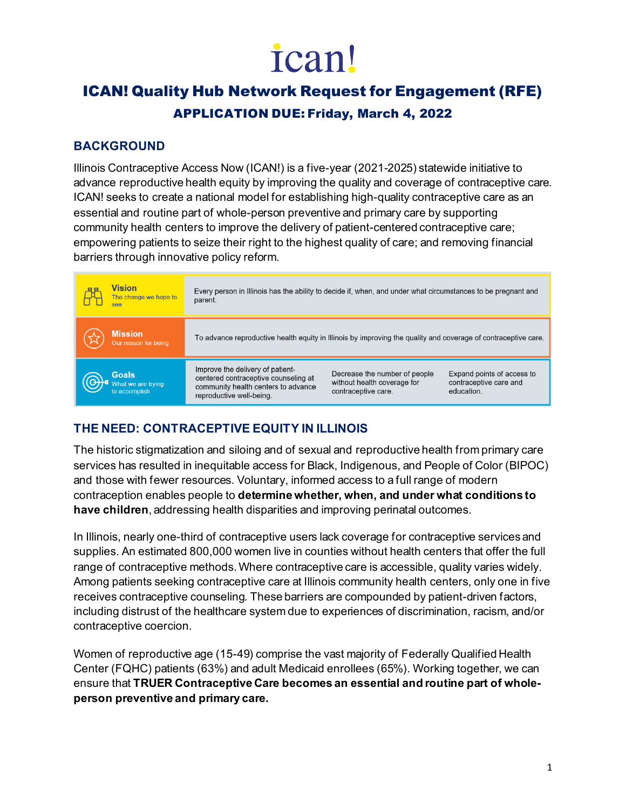# ican!

# ICAN! Quality Hub Network Request for Engagement (RFE) APPLICATION DUE: Friday, March 4, 2022

# **BACKGROUND**

Illinois Contraceptive Access Now (ICAN!) is a five-year (2021-2025) statewide initiative to advance reproductive health equity by improving the quality and coverage of contraceptive care. ICAN! seeks to create a national model for establishing high-quality contraceptive care as an essential and routine part of whole-person preventive and primary care by supporting community health centers to improve the delivery of patient-centered contraceptive care; empowering patients to seize their right to the highest quality of care; and removing financial barriers through innovative policy reform.

| <b>Vision</b><br>The change we hope to<br>see | Every person in Illinois has the ability to decide if, when, and under what circumstances to be pregnant and<br>parent.                                                                                                                                                                                  |  |
|-----------------------------------------------|----------------------------------------------------------------------------------------------------------------------------------------------------------------------------------------------------------------------------------------------------------------------------------------------------------|--|
| <b>Mission</b><br>Our reason for being        | To advance reproductive health equity in Illinois by improving the quality and coverage of contraceptive care.                                                                                                                                                                                           |  |
| Goals<br>What we are trying<br>to accomplish  | Improve the delivery of patient-<br>Decrease the number of people<br>Expand points of access to<br>centered contraceptive counseling at<br>without health coverage for<br>contraceptive care and<br>community health centers to advance<br>education.<br>contraceptive care.<br>reproductive well-being. |  |

# **THE NEED: CONTRACEPTIVE EQUITY IN ILLINOIS**

The historic stigmatization and siloing and of sexual and reproductive health from primary care services has resulted in inequitable access for Black, Indigenous, and People of Color (BIPOC) and those with fewer resources. Voluntary, informed access to a full range of modern contraception enables people to **determine whether, when, and under what conditions to have children**, addressing health disparities and improving perinatal outcomes.

In Illinois, nearly one-third of contraceptive users lack coverage for contraceptive services and supplies. An estimated 800,000 women live in counties without health centers that offer the full range of contraceptive methods. Where contraceptive care is accessible, quality varies widely. Among patients seeking contraceptive care at Illinois community health centers, only one in five receives contraceptive counseling. These barriers are compounded by patient-driven factors, including distrust of the healthcare system due to experiences of discrimination, racism, and/or contraceptive coercion.

Women of reproductive age (15-49) comprise the vast majority of Federally Qualified Health Center (FQHC) patients (63%) and adult Medicaid enrollees (65%). Working together, we can ensure that **TRUER Contraceptive Care becomes an essential and routine part of wholeperson preventive and primary care.**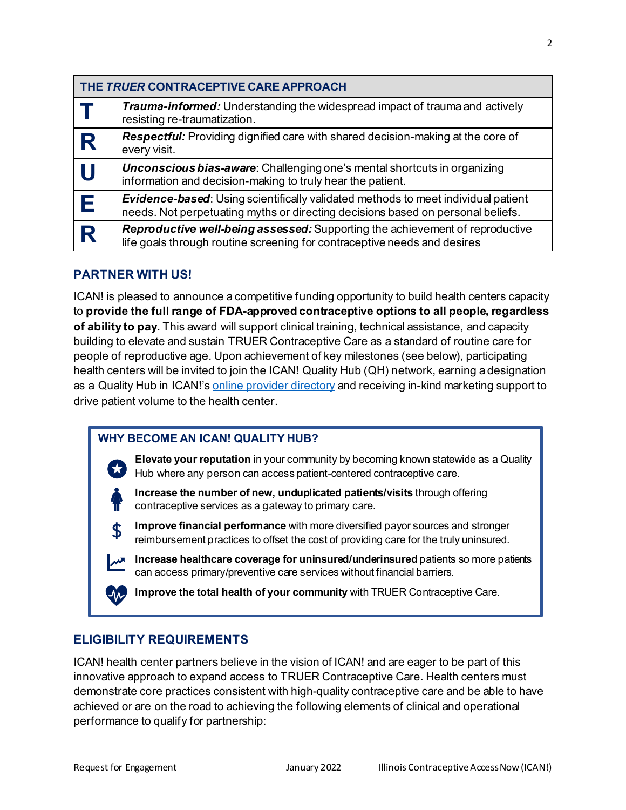| THE TRUER CONTRACEPTIVE CARE APPROACH |                                                                                                                                                                             |
|---------------------------------------|-----------------------------------------------------------------------------------------------------------------------------------------------------------------------------|
|                                       | <b>Trauma-informed:</b> Understanding the widespread impact of trauma and actively<br>resisting re-traumatization.                                                          |
| R                                     | <b>Respectful:</b> Providing dignified care with shared decision-making at the core of<br>every visit.                                                                      |
|                                       | <b>Unconscious bias-aware:</b> Challenging one's mental shortcuts in organizing<br>information and decision-making to truly hear the patient.                               |
| Е                                     | <b>Evidence-based:</b> Using scientifically validated methods to meet individual patient<br>needs. Not perpetuating myths or directing decisions based on personal beliefs. |
| R                                     | <b>Reproductive well-being assessed:</b> Supporting the achievement of reproductive<br>life goals through routine screening for contraceptive needs and desires             |

## **PARTNER WITH US!**

ICAN! is pleased to announce a competitive funding opportunity to build health centers capacity to **provide the full range of FDA-approved contraceptive options to all people, regardless of ability to pay.** This award will support clinical training, technical assistance, and capacity building to elevate and sustain TRUER Contraceptive Care as a standard of routine care for people of reproductive age. Upon achievement of key milestones (see below), participating health centers will be invited to join the ICAN! Quality Hub (QH) network, earning a designation as a Quality Hub in ICAN!'s [online provider directory](https://ican4all.org/find-a-healthcare-provider-start/) and receiving in-kind marketing support to drive patient volume to the health center.

#### **WHY BECOME AN ICAN! QUALITY HUB?**

**Elevate your reputation** in your community by becoming known statewide as a Quality Hub where any person can access patient-centered contraceptive care.

**Increase the number of new, unduplicated patients/visits** through offering contraceptive services as a gateway to primary care.

**Improve financial performance** with more diversified payor sources and stronger reimbursement practices to offset the cost of providing care for the truly uninsured.

**Increase healthcare coverage for uninsured/underinsured** patients so more patients can access primary/preventive care services without financial barriers.

**Improve the total health of your community** with TRUER Contraceptive Care.

#### **ELIGIBILITY REQUIREMENTS**

ICAN! health center partners believe in the vision of ICAN! and are eager to be part of this innovative approach to expand access to TRUER Contraceptive Care. Health centers must demonstrate core practices consistent with high-quality contraceptive care and be able to have achieved or are on the road to achieving the following elements of clinical and operational performance to qualify for partnership: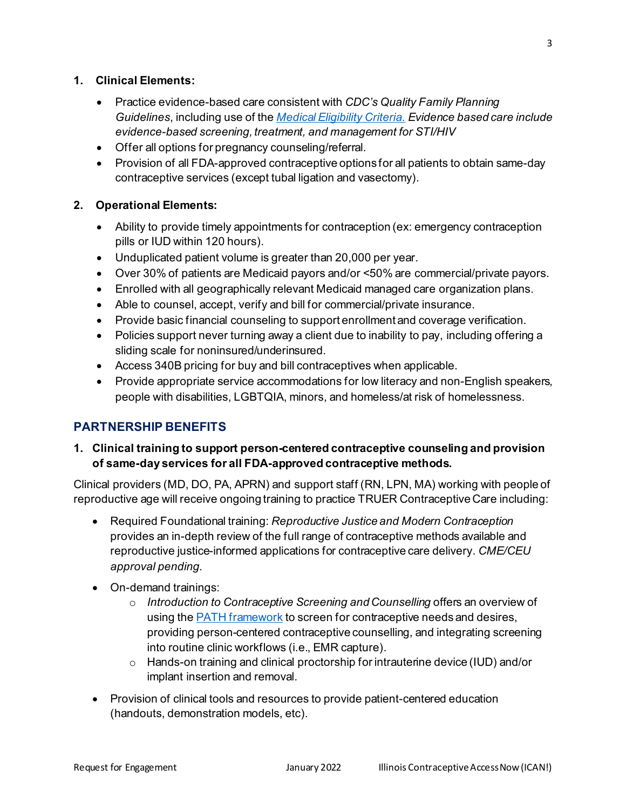#### **1. Clinical Elements:**

- Practice evidence-based care consistent with *CDC's Quality Family Planning Guidelines*, including use of the *[Medical Eligibility Criteria.](https://www.cdc.gov/reproductivehealth/contraception/pdf/summary-chart-us-medical-eligibility-criteria_508tagged.pdf) Evidence based care include evidence-based screening, treatment, and management for STI/HIV*
- Offer all options for pregnancy counseling/referral.
- Provision of all FDA-approved contraceptive options for all patients to obtain same-day contraceptive services (except tubal ligation and vasectomy).

#### **2. Operational Elements:**

- Ability to provide timely appointments for contraception (ex: emergency contraception pills or IUD within 120 hours).
- Unduplicated patient volume is greater than 20,000 per year.
- Over 30% of patients are Medicaid payors and/or <50% are commercial/private payors.
- Enrolled with all geographically relevant Medicaid managed care organization plans.
- Able to counsel, accept, verify and bill for commercial/private insurance.
- Provide basic financial counseling to support enrollment and coverage verification.
- Policies support never turning away a client due to inability to pay, including offering a sliding scale for noninsured/underinsured.
- Access 340B pricing for buy and bill contraceptives when applicable.
- Provide appropriate service accommodations for low literacy and non-English speakers, people with disabilities, LGBTQIA, minors, and homeless/at risk of homelessness.

# **PARTNERSHIP BENEFITS**

## **1. Clinical training to support person-centered contraceptive counseling and provision of same-day services for all FDA-approved contraceptive methods.**

Clinical providers (MD, DO, PA, APRN) and support staff (RN, LPN, MA) working with people of reproductive age will receive ongoing training to practice TRUER Contraceptive Care including:

- Required Foundational training: *Reproductive Justice and Modern Contraception* provides an in-depth review of the full range of contraceptive methods available and reproductive justice-informed applications for contraceptive care delivery. *CME/CEU approval pending.*
- On-demand trainings:
	- o *Introduction to Contraceptive Screening and Counselling* offers an overview of using the **PATH** [framework](https://www.envisionsrh.com/path-flow-chart-tool) to screen for contraceptive needs and desires, providing person-centered contraceptive counselling, and integrating screening into routine clinic workflows (i.e., EMR capture).
	- o Hands-on training and clinical proctorship for intrauterine device (IUD) and/or implant insertion and removal.
- Provision of clinical tools and resources to provide patient-centered education (handouts, demonstration models, etc).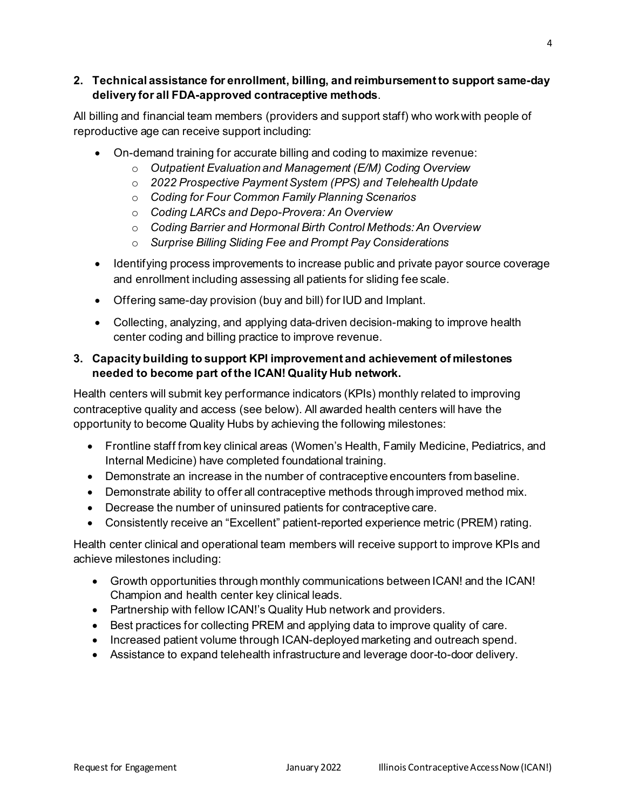#### **2. Technical assistance for enrollment, billing, and reimbursement to support same-day delivery for all FDA-approved contraceptive methods**.

All billing and financial team members (providers and support staff) who work with people of reproductive age can receive support including:

- On-demand training for accurate billing and coding to maximize revenue:
	- o *Outpatient Evaluation and Management (E/M) Coding Overview*
	- o *2022 Prospective Payment System (PPS) and Telehealth Update*
	- o *Coding for Four Common Family Planning Scenarios*
	- o *Coding LARCs and Depo-Provera: An Overview*
	- o *Coding Barrier and Hormonal Birth Control Methods: An Overview*
	- o *Surprise Billing Sliding Fee and Prompt Pay Considerations*
- Identifying process improvements to increase public and private payor source coverage and enrollment including assessing all patients for sliding fee scale.
- Offering same-day provision (buy and bill) for IUD and Implant.
- Collecting, analyzing, and applying data-driven decision-making to improve health center coding and billing practice to improve revenue.

#### **3. Capacity building to support KPI improvement and achievement of milestones needed to become part of the ICAN! Quality Hub network.**

Health centers will submit key performance indicators (KPIs) monthly related to improving contraceptive quality and access (see below). All awarded health centers will have the opportunity to become Quality Hubs by achieving the following milestones:

- Frontline staff from key clinical areas (Women's Health, Family Medicine, Pediatrics, and Internal Medicine) have completed foundational training.
- Demonstrate an increase in the number of contraceptive encounters from baseline.
- Demonstrate ability to offer all contraceptive methods through improved method mix.
- Decrease the number of uninsured patients for contraceptive care.
- Consistently receive an "Excellent" patient-reported experience metric (PREM) rating.

Health center clinical and operational team members will receive support to improve KPIs and achieve milestones including:

- Growth opportunities through monthly communications between ICAN! and the ICAN! Champion and health center key clinical leads.
- Partnership with fellow ICAN!'s Quality Hub network and providers.
- Best practices for collecting PREM and applying data to improve quality of care.
- Increased patient volume through ICAN-deployed marketing and outreach spend.
- Assistance to expand telehealth infrastructure and leverage door-to-door delivery.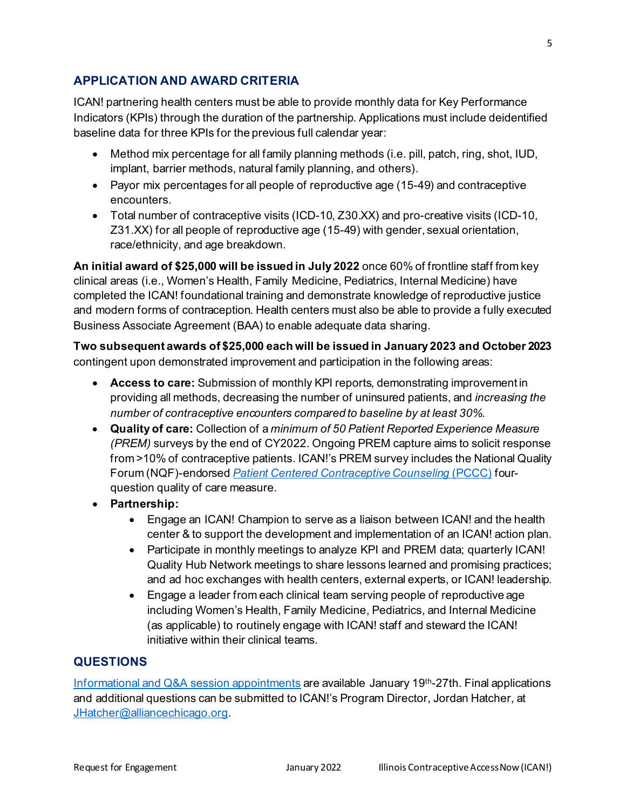# **APPLICATION AND AWARD CRITERIA**

ICAN! partnering health centers must be able to provide monthly data for Key Performance Indicators (KPIs) through the duration of the partnership. Applications must include deidentified baseline data for three KPIs for the previous full calendar year:

- Method mix percentage for all family planning methods (i.e. pill, patch, ring, shot, IUD, implant, barrier methods, natural family planning, and others).
- Payor mix percentages for all people of reproductive age (15-49) and contraceptive encounters.
- Total number of contraceptive visits (ICD-10, Z30.XX) and pro-creative visits (ICD-10, Z31.XX) for all people of reproductive age (15-49) with gender, sexual orientation, race/ethnicity, and age breakdown.

**An initial award of \$25,000 will be issued in July 2022** once 60% of frontline staff from key clinical areas (i.e., Women's Health, Family Medicine, Pediatrics, Internal Medicine) have completed the ICAN! foundational training and demonstrate knowledge of reproductive justice and modern forms of contraception. Health centers must also be able to provide a fully executed Business Associate Agreement (BAA) to enable adequate data sharing.

**Two subsequent awards of \$25,000 each will be issued in January 2023 and October 2023** contingent upon demonstrated improvement and participation in the following areas:

- **Access to care:** Submission of monthly KPI reports, demonstrating improvement in providing all methods, decreasing the number of uninsured patients, and *increasing the number of contraceptive encounters compared to baseline by at least 30%.*
- **Quality of care:** Collection of a *minimum of 50 Patient Reported Experience Measure (PREM)* surveys by the end of CY2022. Ongoing PREM capture aims to solicit response from >10% of contraceptive patients. ICAN!'s PREM survey includes the National Quality Forum (NQF)-endorsed *[Patient Centered Contraceptive Counseling](https://pcccmeasure.ucsf.edu/)* (PCCC) fourquestion quality of care measure.
- **Partnership:**
	- Engage an ICAN! Champion to serve as a liaison between ICAN! and the health center & to support the development and implementation of an ICAN! action plan.
	- Participate in monthly meetings to analyze KPI and PREM data; quarterly ICAN! Quality Hub Network meetings to share lessons learned and promising practices; and ad hoc exchanges with health centers, external experts, or ICAN! leadership.
	- Engage a leader from each clinical team serving people of reproductive age including Women's Health, Family Medicine, Pediatrics, and Internal Medicine (as applicable) to routinely engage with ICAN! staff and steward the ICAN! initiative within their clinical teams.

# **QUESTIONS**

Informational and [Q&A session appointments](https://calendly.com/ican4all/ican-request-for-engagement-q-a-session?month=2022-01) are available January 19th-27th. Final applications and additional questions can be submitted to ICAN!'s Program Director, Jordan Hatcher, at [JHatcher@alliancechicago.org.](mailto:JHatcher@alliancechicago.org)